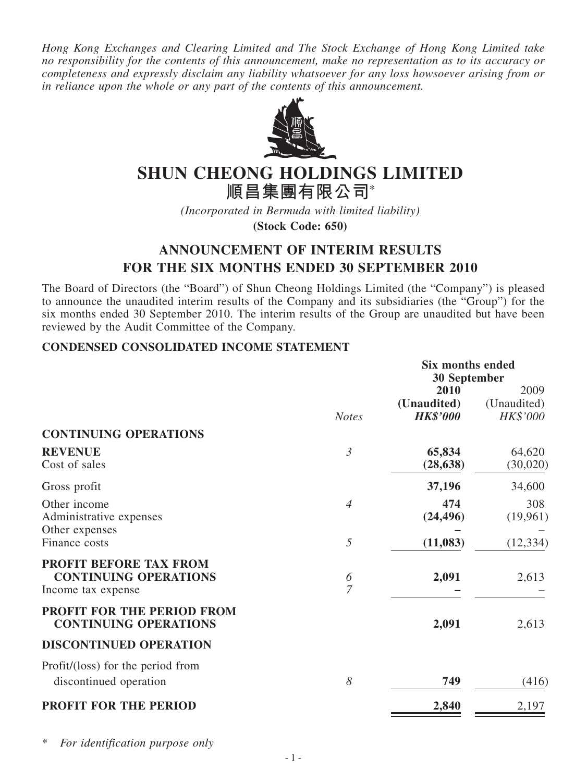*Hong Kong Exchanges and Clearing Limited and The Stock Exchange of Hong Kong Limited take no responsibility for the contents of this announcement, make no representation as to its accuracy or completeness and expressly disclaim any liability whatsoever for any loss howsoever arising from or in reliance upon the whole or any part of the contents of this announcement.*



# **SHUN CHEONG HOLDINGS LIMITED**

**順昌集團有限公司\***

*(Incorporated in Bermuda with limited liability)*

**(Stock Code: 650)**

## **ANNOUNCEMENT OF INTERIM RESULTS FOR THE SIX MONTHS ENDED 30 SEPTEMBER 2010**

The Board of Directors (the "Board") of Shun Cheong Holdings Limited (the "Company") is pleased to announce the unaudited interim results of the Company and its subsidiaries (the "Group") for the six months ended 30 September 2010. The interim results of the Group are unaudited but have been reviewed by the Audit Committee of the Company.

### **CONDENSED CONSOLIDATED INCOME STATEMENT**

|                                   | <b>Six months ended</b> |                 |             |
|-----------------------------------|-------------------------|-----------------|-------------|
|                                   | <b>30 September</b>     |                 |             |
|                                   |                         | 2010            | 2009        |
|                                   |                         | (Unaudited)     | (Unaudited) |
|                                   | <b>Notes</b>            | <b>HK\$'000</b> | HK\$'000    |
| <b>CONTINUING OPERATIONS</b>      |                         |                 |             |
| <b>REVENUE</b>                    | $\mathfrak{Z}$          | 65,834          | 64,620      |
| Cost of sales                     |                         | (28, 638)       | (30,020)    |
| Gross profit                      |                         | 37,196          | 34,600      |
| Other income                      | $\overline{4}$          | 474             | 308         |
| Administrative expenses           |                         | (24, 496)       | (19,961)    |
| Other expenses                    |                         |                 |             |
| Finance costs                     | 5                       | (11,083)        | (12, 334)   |
| PROFIT BEFORE TAX FROM            |                         |                 |             |
| <b>CONTINUING OPERATIONS</b>      | 6                       | 2,091           | 2,613       |
| Income tax expense                | 7                       |                 |             |
| PROFIT FOR THE PERIOD FROM        |                         |                 |             |
| <b>CONTINUING OPERATIONS</b>      |                         | 2,091           | 2,613       |
| <b>DISCONTINUED OPERATION</b>     |                         |                 |             |
| Profit/(loss) for the period from |                         |                 |             |
| discontinued operation            | 8                       | 749             | (416)       |
| <b>PROFIT FOR THE PERIOD</b>      |                         | 2,840           | 2,197       |
|                                   |                         |                 |             |

\* *For identification purpose only*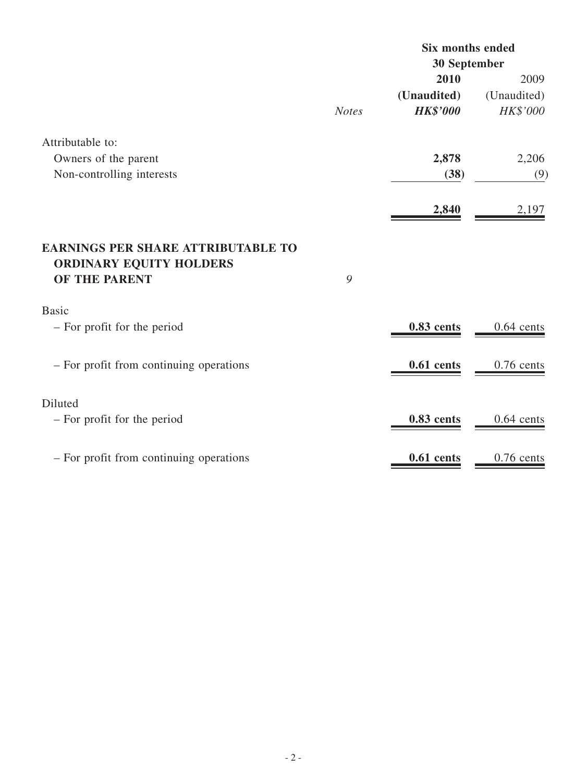|                                                                                       |              | <b>Six months ended</b><br>30 September |              |
|---------------------------------------------------------------------------------------|--------------|-----------------------------------------|--------------|
|                                                                                       |              |                                         |              |
|                                                                                       |              | 2010                                    | 2009         |
|                                                                                       |              | (Unaudited)                             | (Unaudited)  |
|                                                                                       | <b>Notes</b> | <b>HK\$'000</b>                         | HK\$'000     |
| Attributable to:                                                                      |              |                                         |              |
| Owners of the parent                                                                  |              | 2,878                                   | 2,206        |
| Non-controlling interests                                                             |              | (38)                                    | (9)          |
|                                                                                       |              | 2,840                                   | 2,197        |
| <b>EARNINGS PER SHARE ATTRIBUTABLE TO</b><br>ORDINARY EQUITY HOLDERS<br>OF THE PARENT | 9            |                                         |              |
| <b>Basic</b>                                                                          |              |                                         |              |
| - For profit for the period                                                           |              | 0.83 cents                              | $0.64$ cents |
| - For profit from continuing operations                                               |              | $0.61$ cents                            | $0.76$ cents |
| Diluted                                                                               |              |                                         |              |
| - For profit for the period                                                           |              | 0.83 cents                              | $0.64$ cents |
| - For profit from continuing operations                                               |              | $0.61$ cents                            | $0.76$ cents |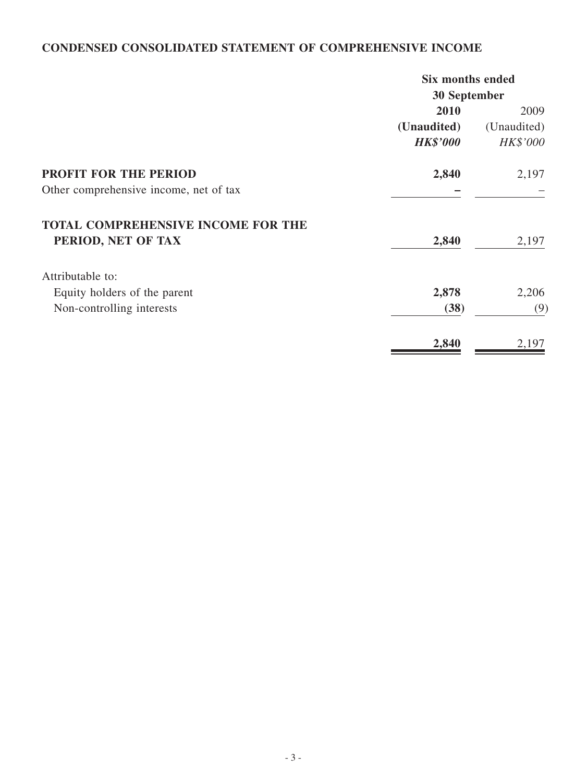## **CONDENSED CONSOLIDATED STATEMENT OF COMPREHENSIVE INCOME**

| <b>Six months ended</b> |             |
|-------------------------|-------------|
| 30 September            |             |
| 2010                    | 2009        |
| (Unaudited)             | (Unaudited) |
| <b>HK\$'000</b>         | HK\$'000    |
| 2,840                   | 2,197       |
|                         |             |
|                         |             |
| 2,840                   | 2,197       |
|                         |             |
| 2,878                   | 2,206       |
| (38)                    | (9)         |
| 2,840                   | 2,197       |
|                         |             |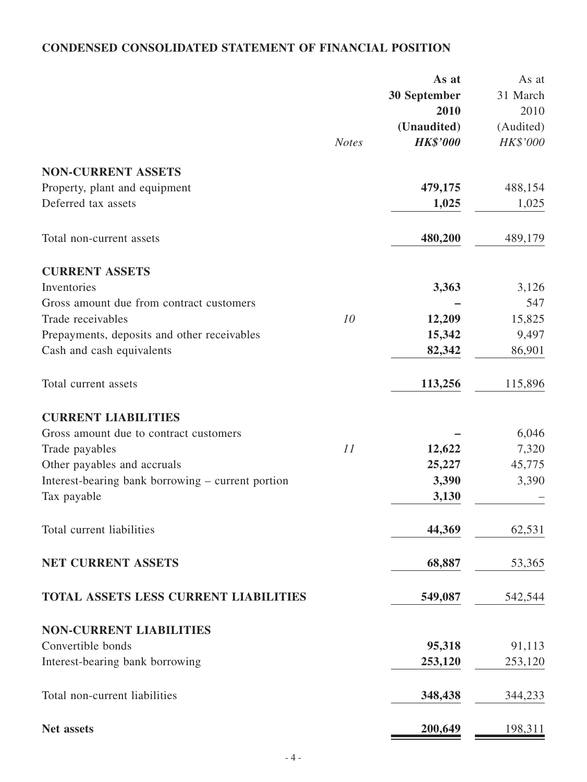## **CONDENSED CONSOLIDATED STATEMENT OF FINANCIAL POSITION**

|                                                   |              | As at           | As at     |
|---------------------------------------------------|--------------|-----------------|-----------|
|                                                   |              | 30 September    | 31 March  |
|                                                   |              | 2010            | 2010      |
|                                                   |              | (Unaudited)     | (Audited) |
|                                                   | <b>Notes</b> | <b>HK\$'000</b> | HK\$'000  |
| <b>NON-CURRENT ASSETS</b>                         |              |                 |           |
| Property, plant and equipment                     |              | 479,175         | 488,154   |
| Deferred tax assets                               |              | 1,025           | 1,025     |
|                                                   |              |                 |           |
| Total non-current assets                          |              | 480,200         | 489,179   |
| <b>CURRENT ASSETS</b>                             |              |                 |           |
| Inventories                                       |              | 3,363           | 3,126     |
| Gross amount due from contract customers          |              |                 | 547       |
| Trade receivables                                 | 10           | 12,209          | 15,825    |
| Prepayments, deposits and other receivables       |              | 15,342          | 9,497     |
| Cash and cash equivalents                         |              | 82,342          | 86,901    |
| Total current assets                              |              | 113,256         | 115,896   |
| <b>CURRENT LIABILITIES</b>                        |              |                 |           |
| Gross amount due to contract customers            |              |                 | 6,046     |
| Trade payables                                    | 11           | 12,622          | 7,320     |
| Other payables and accruals                       |              | 25,227          | 45,775    |
| Interest-bearing bank borrowing – current portion |              | 3,390           | 3,390     |
| Tax payable                                       |              | 3,130           |           |
| Total current liabilities                         |              | 44,369          | 62,531    |
| <b>NET CURRENT ASSETS</b>                         |              | 68,887          | 53,365    |
|                                                   |              |                 |           |
| <b>TOTAL ASSETS LESS CURRENT LIABILITIES</b>      |              | 549,087         | 542,544   |
| <b>NON-CURRENT LIABILITIES</b>                    |              |                 |           |
| Convertible bonds                                 |              | 95,318          | 91,113    |
| Interest-bearing bank borrowing                   |              | 253,120         | 253,120   |
| Total non-current liabilities                     |              | 348,438         | 344,233   |
| <b>Net assets</b>                                 |              | 200,649         | 198,311   |
|                                                   |              |                 |           |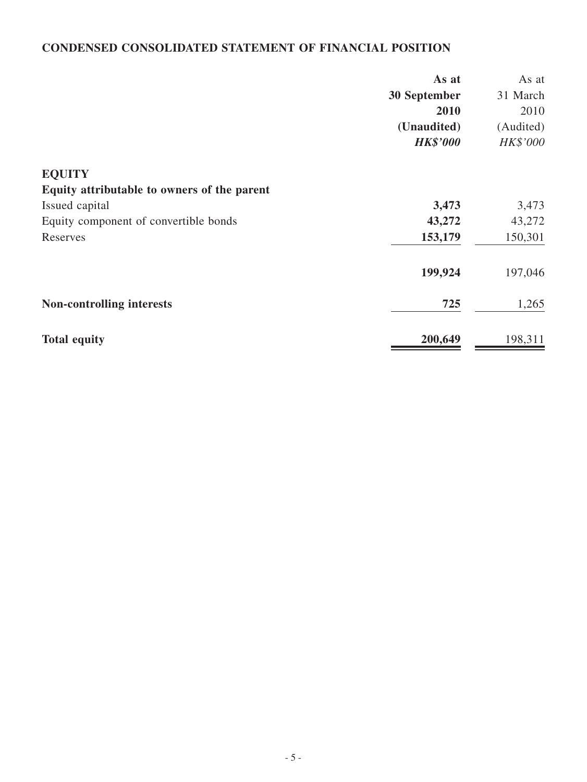## **CONDENSED CONSOLIDATED STATEMENT OF FINANCIAL POSITION**

|                                             | As at           | As at     |
|---------------------------------------------|-----------------|-----------|
|                                             | 30 September    | 31 March  |
|                                             | 2010            | 2010      |
|                                             | (Unaudited)     | (Audited) |
|                                             | <b>HK\$'000</b> | HK\$'000  |
| <b>EQUITY</b>                               |                 |           |
| Equity attributable to owners of the parent |                 |           |
| Issued capital                              | 3,473           | 3,473     |
| Equity component of convertible bonds       | 43,272          | 43,272    |
| Reserves                                    | 153,179         | 150,301   |
|                                             | 199,924         | 197,046   |
| <b>Non-controlling interests</b>            | 725             | 1,265     |
| <b>Total equity</b>                         | 200,649         | 198,311   |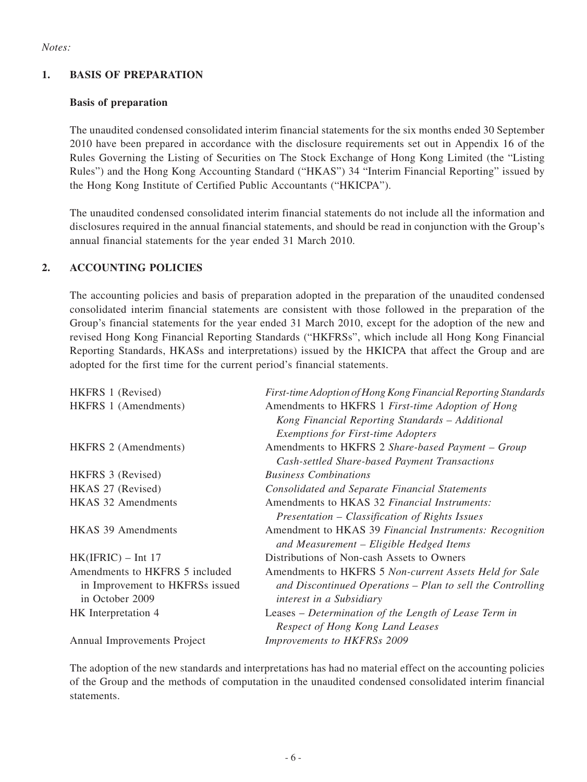#### **1. BASIS OF PREPARATION**

#### **Basis of preparation**

The unaudited condensed consolidated interim financial statements for the six months ended 30 September 2010 have been prepared in accordance with the disclosure requirements set out in Appendix 16 of the Rules Governing the Listing of Securities on The Stock Exchange of Hong Kong Limited (the "Listing Rules") and the Hong Kong Accounting Standard ("HKAS") 34 "Interim Financial Reporting" issued by the Hong Kong Institute of Certified Public Accountants ("HKICPA").

The unaudited condensed consolidated interim financial statements do not include all the information and disclosures required in the annual financial statements, and should be read in conjunction with the Group's annual financial statements for the year ended 31 March 2010.

#### **2. ACCOUNTING POLICIES**

The accounting policies and basis of preparation adopted in the preparation of the unaudited condensed consolidated interim financial statements are consistent with those followed in the preparation of the Group's financial statements for the year ended 31 March 2010, except for the adoption of the new and revised Hong Kong Financial Reporting Standards ("HKFRSs", which include all Hong Kong Financial Reporting Standards, HKASs and interpretations) issued by the HKICPA that affect the Group and are adopted for the first time for the current period's financial statements.

| HKFRS 1 (Revised)               | First-time Adoption of Hong Kong Financial Reporting Standards |
|---------------------------------|----------------------------------------------------------------|
| HKFRS 1 (Amendments)            | Amendments to HKFRS 1 First-time Adoption of Hong              |
|                                 | Kong Financial Reporting Standards - Additional                |
|                                 | <b>Exemptions for First-time Adopters</b>                      |
| <b>HKFRS 2 (Amendments)</b>     | Amendments to HKFRS 2 Share-based Payment – Group              |
|                                 | Cash-settled Share-based Payment Transactions                  |
| HKFRS 3 (Revised)               | <b>Business Combinations</b>                                   |
| HKAS 27 (Revised)               | <b>Consolidated and Separate Financial Statements</b>          |
| <b>HKAS 32 Amendments</b>       | Amendments to HKAS 32 Financial Instruments:                   |
|                                 | Presentation – Classification of Rights Issues                 |
| <b>HKAS 39 Amendments</b>       | Amendment to HKAS 39 Financial Instruments: Recognition        |
|                                 | and Measurement – Eligible Hedged Items                        |
| $HK(IFRIC) - Int 17$            | Distributions of Non-cash Assets to Owners                     |
| Amendments to HKFRS 5 included  | Amendments to HKFRS 5 Non-current Assets Held for Sale         |
| in Improvement to HKFRSs issued | and Discontinued Operations – Plan to sell the Controlling     |
| in October 2009                 | interest in a Subsidiary                                       |
| HK Interpretation 4             | Leases – Determination of the Length of Lease Term in          |
|                                 | Respect of Hong Kong Land Leases                               |
| Annual Improvements Project     | Improvements to HKFRSs 2009                                    |

The adoption of the new standards and interpretations has had no material effect on the accounting policies of the Group and the methods of computation in the unaudited condensed consolidated interim financial statements.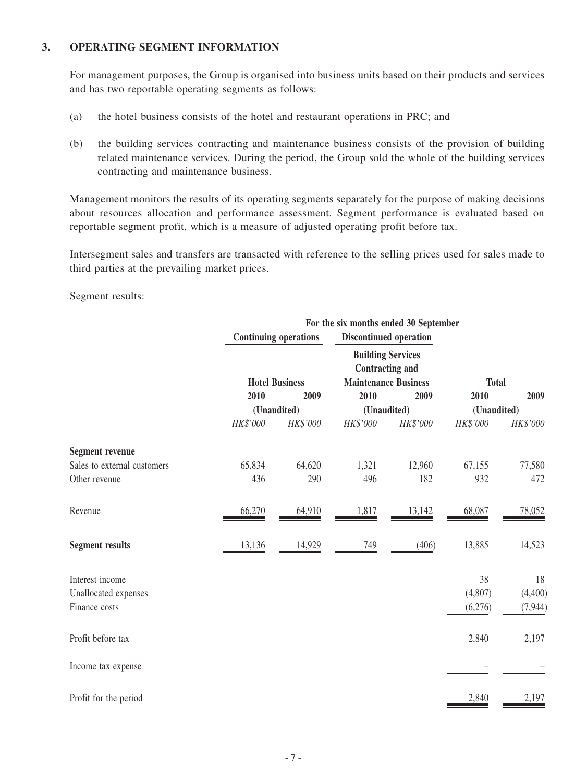#### **3. operating segment INFORMATION**

For management purposes, the Group is organised into business units based on their products and services and has two reportable operating segments as follows:

- (a) the hotel business consists of the hotel and restaurant operations in PRC; and
- (b) the building services contracting and maintenance business consists of the provision of building related maintenance services. During the period, the Group sold the whole of the building services contracting and maintenance business.

Management monitors the results of its operating segments separately for the purpose of making decisions about resources allocation and performance assessment. Segment performance is evaluated based on reportable segment profit, which is a measure of adjusted operating profit before tax.

Intersegment sales and transfers are transacted with reference to the selling prices used for sales made to third parties at the prevailing market prices.

Segment results:

|                             | For the six months ended 30 September |                              |                             |                                                    |              |          |
|-----------------------------|---------------------------------------|------------------------------|-----------------------------|----------------------------------------------------|--------------|----------|
|                             |                                       | <b>Continuing operations</b> |                             | <b>Discontinued operation</b>                      |              |          |
|                             |                                       | <b>Hotel Business</b>        | <b>Maintenance Business</b> | <b>Building Services</b><br><b>Contracting and</b> | <b>Total</b> |          |
|                             | 2010                                  | 2009                         | 2010                        | 2009                                               | 2010         | 2009     |
|                             |                                       | (Unaudited)                  | (Unaudited)                 |                                                    | (Unaudited)  |          |
|                             | HK\$'000                              | HK\$'000                     | HK\$'000                    | HK\$'000                                           | HK\$'000     | HK\$'000 |
| <b>Segment revenue</b>      |                                       |                              |                             |                                                    |              |          |
| Sales to external customers | 65,834                                | 64,620                       | 1,321                       | 12,960                                             | 67,155       | 77,580   |
| Other revenue               | 436                                   | 290                          | 496                         | 182                                                | 932          | 472      |
| Revenue                     | 66,270                                | 64,910                       | 1,817                       | 13,142                                             | 68,087       | 78,052   |
| <b>Segment results</b>      | 13,136                                | 14,929                       | 749                         | (406)                                              | 13,885       | 14,523   |
| Interest income             |                                       |                              |                             |                                                    | 38           | 18       |
| Unallocated expenses        |                                       |                              |                             |                                                    | (4,807)      | (4,400)  |
| Finance costs               |                                       |                              |                             |                                                    | (6,276)      | (7,944)  |
| Profit before tax           |                                       |                              |                             |                                                    | 2,840        | 2,197    |
| Income tax expense          |                                       |                              |                             |                                                    |              |          |
| Profit for the period       |                                       |                              |                             |                                                    | 2,840        | 2,197    |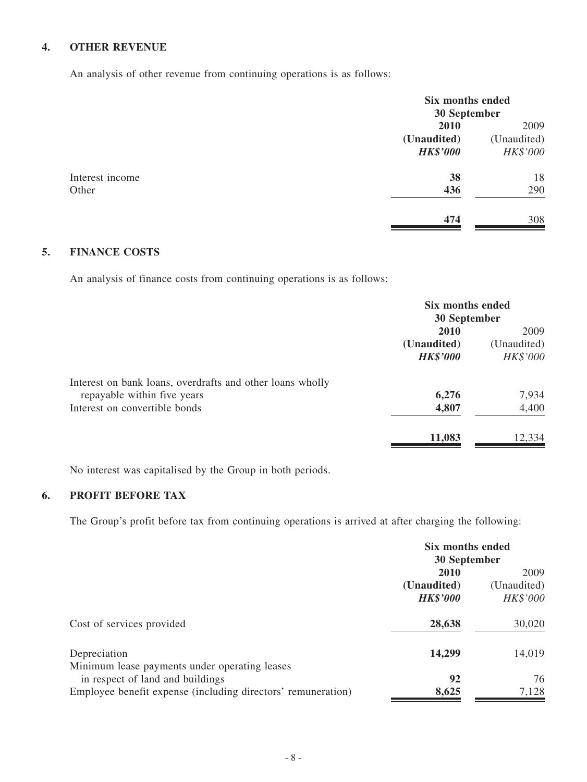### **4. OTHER REVENUE**

An analysis of other revenue from continuing operations is as follows:

|                 | Six months ended<br>30 September |             |
|-----------------|----------------------------------|-------------|
|                 | 2010                             | 2009        |
|                 | (Unaudited)                      | (Unaudited) |
|                 | <b>HK\$'000</b>                  | HK\$'000    |
| Interest income | 38                               | 18          |
| Other           | 436                              | 290         |
|                 | 474                              | 308         |

### **5. FINANCE COSTS**

An analysis of finance costs from continuing operations is as follows:

|                                                           | Six months ended<br>30 September |                         |
|-----------------------------------------------------------|----------------------------------|-------------------------|
|                                                           | <b>2010</b>                      | 2009                    |
|                                                           | (Unaudited)<br><b>HK\$'000</b>   | (Unaudited)<br>HK\$'000 |
| Interest on bank loans, overdrafts and other loans wholly |                                  |                         |
| repayable within five years                               | 6,276                            | 7,934                   |
| Interest on convertible bonds                             | 4,807                            | 4,400                   |
|                                                           | 11,083                           | 12,334                  |

No interest was capitalised by the Group in both periods.

### **6. PROFIT BEFORE TAX**

The Group's profit before tax from continuing operations is arrived at after charging the following:

|                                                              | Six months ended<br>30 September |             |
|--------------------------------------------------------------|----------------------------------|-------------|
|                                                              |                                  |             |
|                                                              | 2010                             | 2009        |
|                                                              | (Unaudited)                      | (Unaudited) |
|                                                              | <b>HK\$'000</b>                  | HK\$'000    |
| Cost of services provided                                    | 28,638                           | 30,020      |
| Depreciation                                                 | 14,299                           | 14,019      |
| Minimum lease payments under operating leases                |                                  |             |
| in respect of land and buildings                             | 92                               | 76          |
| Employee benefit expense (including directors' remuneration) | 8,625                            | 7,128       |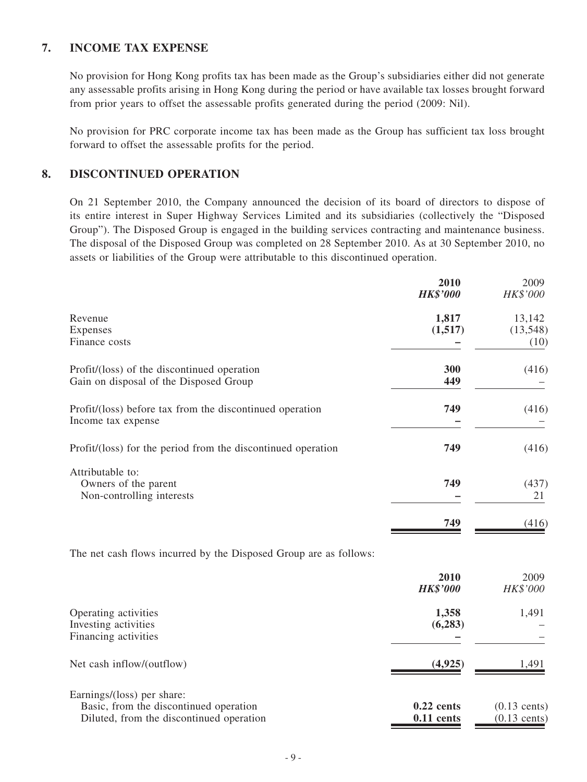#### **7. INCOME TAX EXPENSE**

No provision for Hong Kong profits tax has been made as the Group's subsidiaries either did not generate any assessable profits arising in Hong Kong during the period or have available tax losses brought forward from prior years to offset the assessable profits generated during the period (2009: Nil).

No provision for PRC corporate income tax has been made as the Group has sufficient tax loss brought forward to offset the assessable profits for the period.

#### **8. DISCONTINUED OPERATION**

On 21 September 2010, the Company announced the decision of its board of directors to dispose of its entire interest in Super Highway Services Limited and its subsidiaries (collectively the "Disposed Group"). The Disposed Group is engaged in the building services contracting and maintenance business. The disposal of the Disposed Group was completed on 28 September 2010. As at 30 September 2010, no assets or liabilities of the Group were attributable to this discontinued operation.

**2010** 2009

|                                                                   | 401 V<br><b>HK\$'000</b> | ZUUZ<br>HK\$'000 |
|-------------------------------------------------------------------|--------------------------|------------------|
| Revenue                                                           | 1,817                    | 13,142           |
| Expenses                                                          | (1,517)                  | (13, 548)        |
| Finance costs                                                     |                          | (10)             |
| Profit/(loss) of the discontinued operation                       | 300                      | (416)            |
| Gain on disposal of the Disposed Group                            | 449                      |                  |
| Profit/(loss) before tax from the discontinued operation          | 749                      | (416)            |
| Income tax expense                                                |                          |                  |
| Profit/(loss) for the period from the discontinued operation      | 749                      | (416)            |
| Attributable to:                                                  |                          |                  |
| Owners of the parent                                              | 749                      | (437)            |
| Non-controlling interests                                         |                          | 21               |
|                                                                   | 749                      | (416)            |
| The net cash flows incurred by the Disposed Group are as follows: |                          |                  |
|                                                                   | 2010                     | 2009             |
|                                                                   | <b>HK\$'000</b>          | HK\$'000         |
| Operating activities                                              | 1,358                    | 1,491            |
| Investing activities                                              | (6, 283)                 |                  |
| Financing activities                                              |                          |                  |
| Net cash inflow/(outflow)                                         | (4, 925)                 | 1,491            |
| Earnings/(loss) per share:                                        |                          |                  |
| Basic, from the discontinued operation                            | $0.22$ cents             | $(0.13$ cents)   |
| Diluted, from the discontinued operation                          | $0.11$ cents             | $(0.13$ cents)   |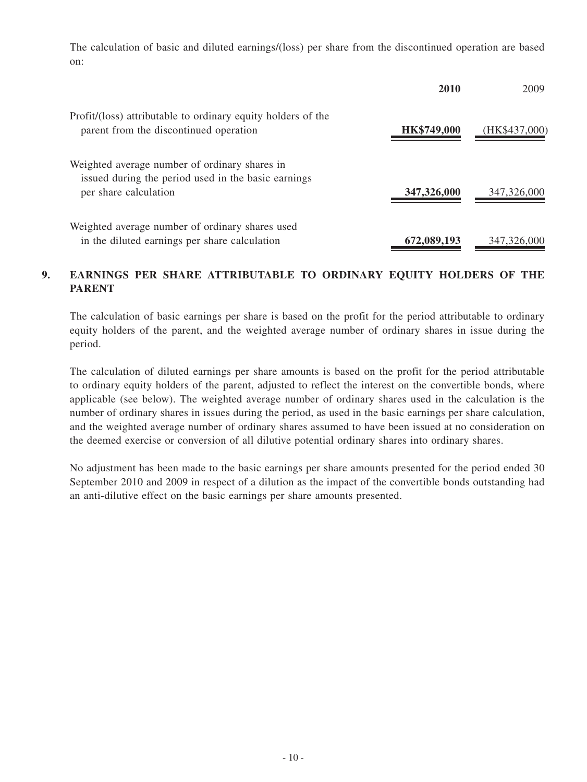The calculation of basic and diluted earnings/(loss) per share from the discontinued operation are based on:

|                                                                                                                               | 2010        | 2009          |
|-------------------------------------------------------------------------------------------------------------------------------|-------------|---------------|
| Profit/(loss) attributable to ordinary equity holders of the<br>parent from the discontinued operation                        | HK\$749,000 | (HK\$437,000) |
| Weighted average number of ordinary shares in<br>issued during the period used in the basic earnings<br>per share calculation | 347,326,000 | 347,326,000   |
| Weighted average number of ordinary shares used<br>in the diluted earnings per share calculation                              | 672,089,193 | 347,326,000   |

#### **9. EARNINGS PER SHARE ATTRIBUTABLE TO ORDINARY EQUITY HOLDERS OF THE PARENT**

The calculation of basic earnings per share is based on the profit for the period attributable to ordinary equity holders of the parent, and the weighted average number of ordinary shares in issue during the period.

The calculation of diluted earnings per share amounts is based on the profit for the period attributable to ordinary equity holders of the parent, adjusted to reflect the interest on the convertible bonds, where applicable (see below). The weighted average number of ordinary shares used in the calculation is the number of ordinary shares in issues during the period, as used in the basic earnings per share calculation, and the weighted average number of ordinary shares assumed to have been issued at no consideration on the deemed exercise or conversion of all dilutive potential ordinary shares into ordinary shares.

No adjustment has been made to the basic earnings per share amounts presented for the period ended 30 September 2010 and 2009 in respect of a dilution as the impact of the convertible bonds outstanding had an anti-dilutive effect on the basic earnings per share amounts presented.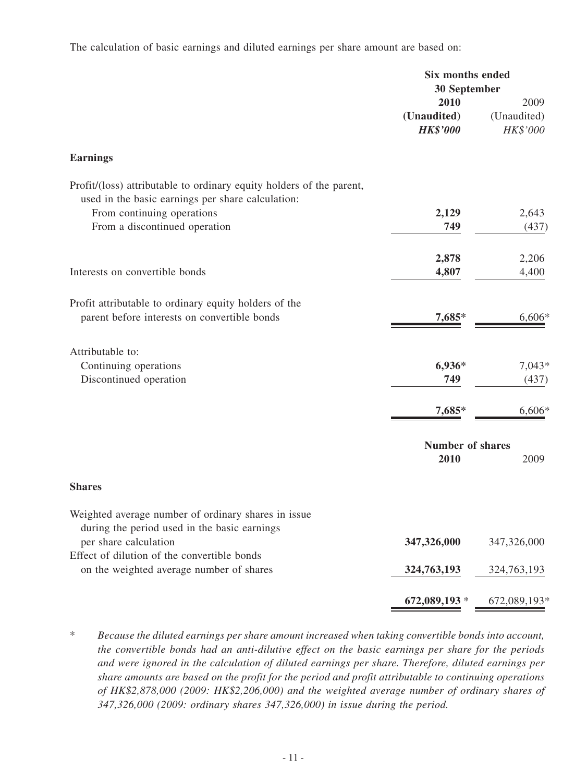The calculation of basic earnings and diluted earnings per share amount are based on:

|                                                                                                                           | <b>Six months ended</b><br><b>30 September</b> |                                 |
|---------------------------------------------------------------------------------------------------------------------------|------------------------------------------------|---------------------------------|
|                                                                                                                           | 2010<br>(Unaudited)<br><b>HK\$'000</b>         | 2009<br>(Unaudited)<br>HK\$'000 |
| <b>Earnings</b>                                                                                                           |                                                |                                 |
| Profit/(loss) attributable to ordinary equity holders of the parent,<br>used in the basic earnings per share calculation: |                                                |                                 |
| From continuing operations                                                                                                | 2,129                                          | 2,643                           |
| From a discontinued operation                                                                                             | 749                                            | (437)                           |
|                                                                                                                           | 2,878                                          | 2,206                           |
| Interests on convertible bonds                                                                                            | 4,807                                          | 4,400                           |
| Profit attributable to ordinary equity holders of the                                                                     |                                                |                                 |
| parent before interests on convertible bonds                                                                              | 7,685*                                         | 6,606*                          |
| Attributable to:                                                                                                          |                                                |                                 |
| Continuing operations                                                                                                     | 6,936*                                         | $7,043*$                        |
| Discontinued operation                                                                                                    | 749                                            | (437)                           |
|                                                                                                                           | 7,685*                                         | 6,606*                          |
|                                                                                                                           | <b>Number of shares</b>                        |                                 |
|                                                                                                                           | 2010                                           | 2009                            |
| <b>Shares</b>                                                                                                             |                                                |                                 |
| Weighted average number of ordinary shares in issue<br>during the period used in the basic earnings                       |                                                |                                 |
| per share calculation                                                                                                     | 347,326,000                                    | 347,326,000                     |
| Effect of dilution of the convertible bonds<br>on the weighted average number of shares                                   | 324,763,193                                    | 324,763,193                     |
|                                                                                                                           |                                                |                                 |
|                                                                                                                           | 672,089,193 *                                  | 672,089,193*                    |

\* *Because the diluted earnings per share amount increased when taking convertible bonds into account, the convertible bonds had an anti-dilutive effect on the basic earnings per share for the periods and were ignored in the calculation of diluted earnings per share. Therefore, diluted earnings per share amounts are based on the profit for the period and profit attributable to continuing operations of HK\$2,878,000 (2009: HK\$2,206,000) and the weighted average number of ordinary shares of 347,326,000 (2009: ordinary shares 347,326,000) in issue during the period.*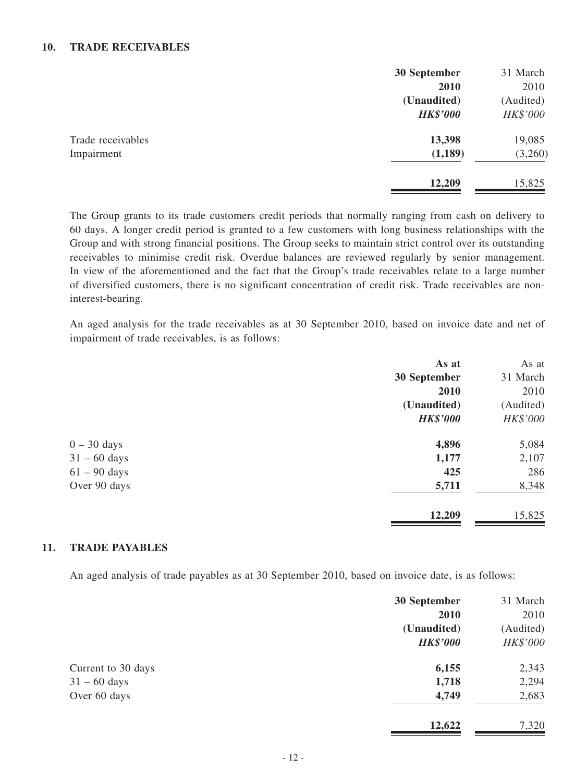#### **10. TRADE RECEIVABLES**

|                   | 30 September    | 31 March  |
|-------------------|-----------------|-----------|
|                   | 2010            | 2010      |
|                   | (Unaudited)     | (Audited) |
|                   | <b>HK\$'000</b> | HK\$'000  |
| Trade receivables | 13,398          | 19,085    |
| Impairment        | (1,189)         | (3,260)   |
|                   | 12,209          | 15,825    |

The Group grants to its trade customers credit periods that normally ranging from cash on delivery to 60 days. A longer credit period is granted to a few customers with long business relationships with the Group and with strong financial positions. The Group seeks to maintain strict control over its outstanding receivables to minimise credit risk. Overdue balances are reviewed regularly by senior management. In view of the aforementioned and the fact that the Group's trade receivables relate to a large number of diversified customers, there is no significant concentration of credit risk. Trade receivables are noninterest-bearing.

An aged analysis for the trade receivables as at 30 September 2010, based on invoice date and net of impairment of trade receivables, is as follows:

| As at           | As at     |
|-----------------|-----------|
| 30 September    | 31 March  |
| 2010            | 2010      |
| (Unaudited)     | (Audited) |
| <b>HK\$'000</b> | HK\$'000  |
| 4,896           | 5,084     |
| 1,177           | 2,107     |
| 425             | 286       |
| 5,711           | 8,348     |
| 12,209          | 15,825    |
|                 |           |

#### **11. TRADE PAYABLES**

An aged analysis of trade payables as at 30 September 2010, based on invoice date, is as follows:

|                    | 30 September<br>2010           | 31 March<br>2010      |
|--------------------|--------------------------------|-----------------------|
|                    | (Unaudited)<br><b>HK\$'000</b> | (Audited)<br>HK\$'000 |
| Current to 30 days | 6,155                          | 2,343                 |
| $31 - 60$ days     | 1,718                          | 2,294                 |
| Over 60 days       | 4,749                          | 2,683                 |
|                    | 12,622                         | 7,320                 |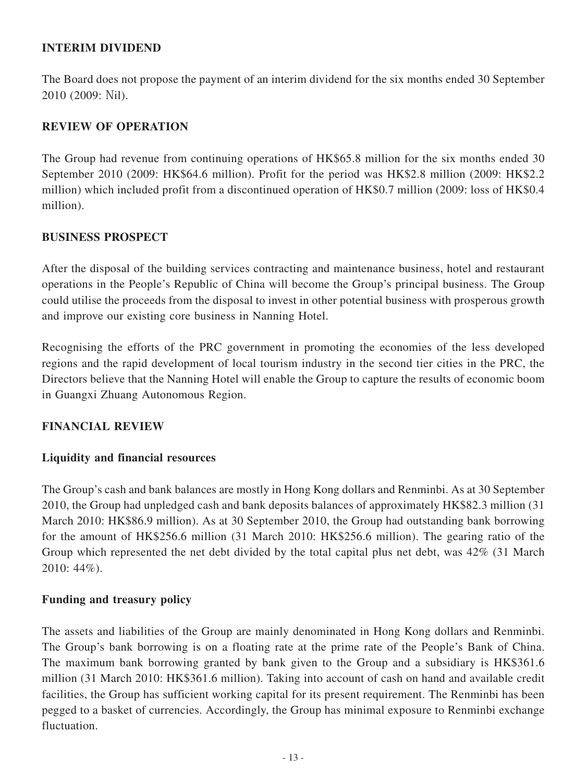### **INTERIM DIVIDEND**

The Board does not propose the payment of an interim dividend for the six months ended 30 September 2010 (2009: Nil).

### **REVIEW OF OPERATION**

The Group had revenue from continuing operations of HK\$65.8 million for the six months ended 30 September 2010 (2009: HK\$64.6 million). Profit for the period was HK\$2.8 million (2009: HK\$2.2 million) which included profit from a discontinued operation of HK\$0.7 million (2009: loss of HK\$0.4 million).

### **BUSINESS PROSPECT**

After the disposal of the building services contracting and maintenance business, hotel and restaurant operations in the People's Republic of China will become the Group's principal business. The Group could utilise the proceeds from the disposal to invest in other potential business with prosperous growth and improve our existing core business in Nanning Hotel.

Recognising the efforts of the PRC government in promoting the economies of the less developed regions and the rapid development of local tourism industry in the second tier cities in the PRC, the Directors believe that the Nanning Hotel will enable the Group to capture the results of economic boom in Guangxi Zhuang Autonomous Region.

### **FINANCIAL REVIEW**

### **Liquidity and financial resources**

The Group's cash and bank balances are mostly in Hong Kong dollars and Renminbi. As at 30 September 2010, the Group had unpledged cash and bank deposits balances of approximately HK\$82.3 million (31 March 2010: HK\$86.9 million). As at 30 September 2010, the Group had outstanding bank borrowing for the amount of HK\$256.6 million (31 March 2010: HK\$256.6 million). The gearing ratio of the Group which represented the net debt divided by the total capital plus net debt, was 42% (31 March 2010: 44%).

### **Funding and treasury policy**

The assets and liabilities of the Group are mainly denominated in Hong Kong dollars and Renminbi. The Group's bank borrowing is on a floating rate at the prime rate of the People's Bank of China. The maximum bank borrowing granted by bank given to the Group and a subsidiary is HK\$361.6 million (31 March 2010: HK\$361.6 million). Taking into account of cash on hand and available credit facilities, the Group has sufficient working capital for its present requirement. The Renminbi has been pegged to a basket of currencies. Accordingly, the Group has minimal exposure to Renminbi exchange fluctuation.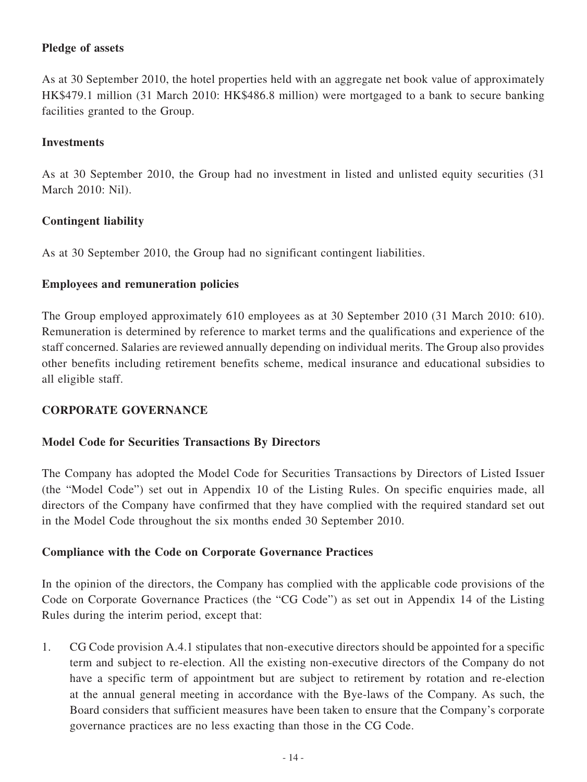### **Pledge of assets**

As at 30 September 2010, the hotel properties held with an aggregate net book value of approximately HK\$479.1 million (31 March 2010: HK\$486.8 million) were mortgaged to a bank to secure banking facilities granted to the Group.

#### **Investments**

As at 30 September 2010, the Group had no investment in listed and unlisted equity securities (31 March 2010: Nil).

### **Contingent liability**

As at 30 September 2010, the Group had no significant contingent liabilities.

#### **Employees and remuneration policies**

The Group employed approximately 610 employees as at 30 September 2010 (31 March 2010: 610). Remuneration is determined by reference to market terms and the qualifications and experience of the staff concerned. Salaries are reviewed annually depending on individual merits. The Group also provides other benefits including retirement benefits scheme, medical insurance and educational subsidies to all eligible staff.

### **CORPORATE GOVERNANCE**

#### **Model Code for Securities Transactions By Directors**

The Company has adopted the Model Code for Securities Transactions by Directors of Listed Issuer (the "Model Code") set out in Appendix 10 of the Listing Rules. On specific enquiries made, all directors of the Company have confirmed that they have complied with the required standard set out in the Model Code throughout the six months ended 30 September 2010.

#### **Compliance with the Code on Corporate Governance Practices**

In the opinion of the directors, the Company has complied with the applicable code provisions of the Code on Corporate Governance Practices (the "CG Code") as set out in Appendix 14 of the Listing Rules during the interim period, except that:

1. CG Code provision A.4.1 stipulates that non-executive directors should be appointed for a specific term and subject to re-election. All the existing non-executive directors of the Company do not have a specific term of appointment but are subject to retirement by rotation and re-election at the annual general meeting in accordance with the Bye-laws of the Company. As such, the Board considers that sufficient measures have been taken to ensure that the Company's corporate governance practices are no less exacting than those in the CG Code.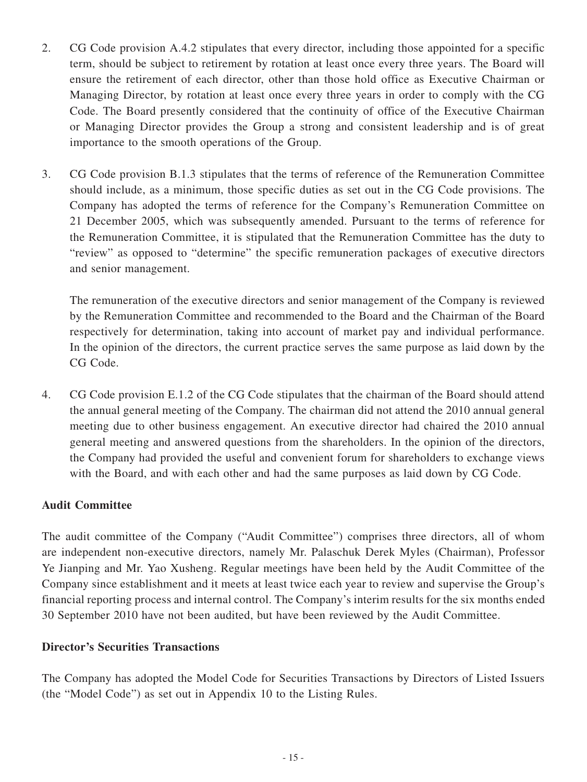- 2. CG Code provision A.4.2 stipulates that every director, including those appointed for a specific term, should be subject to retirement by rotation at least once every three years. The Board will ensure the retirement of each director, other than those hold office as Executive Chairman or Managing Director, by rotation at least once every three years in order to comply with the CG Code. The Board presently considered that the continuity of office of the Executive Chairman or Managing Director provides the Group a strong and consistent leadership and is of great importance to the smooth operations of the Group.
- 3. CG Code provision B.1.3 stipulates that the terms of reference of the Remuneration Committee should include, as a minimum, those specific duties as set out in the CG Code provisions. The Company has adopted the terms of reference for the Company's Remuneration Committee on 21 December 2005, which was subsequently amended. Pursuant to the terms of reference for the Remuneration Committee, it is stipulated that the Remuneration Committee has the duty to "review" as opposed to "determine" the specific remuneration packages of executive directors and senior management.

The remuneration of the executive directors and senior management of the Company is reviewed by the Remuneration Committee and recommended to the Board and the Chairman of the Board respectively for determination, taking into account of market pay and individual performance. In the opinion of the directors, the current practice serves the same purpose as laid down by the CG Code.

4. CG Code provision E.1.2 of the CG Code stipulates that the chairman of the Board should attend the annual general meeting of the Company. The chairman did not attend the 2010 annual general meeting due to other business engagement. An executive director had chaired the 2010 annual general meeting and answered questions from the shareholders. In the opinion of the directors, the Company had provided the useful and convenient forum for shareholders to exchange views with the Board, and with each other and had the same purposes as laid down by CG Code.

### **Audit Committee**

The audit committee of the Company ("Audit Committee") comprises three directors, all of whom are independent non-executive directors, namely Mr. Palaschuk Derek Myles (Chairman), Professor Ye Jianping and Mr. Yao Xusheng. Regular meetings have been held by the Audit Committee of the Company since establishment and it meets at least twice each year to review and supervise the Group's financial reporting process and internal control. The Company's interim results for the six months ended 30 September 2010 have not been audited, but have been reviewed by the Audit Committee.

### **Director's Securities Transactions**

The Company has adopted the Model Code for Securities Transactions by Directors of Listed Issuers (the "Model Code") as set out in Appendix 10 to the Listing Rules.